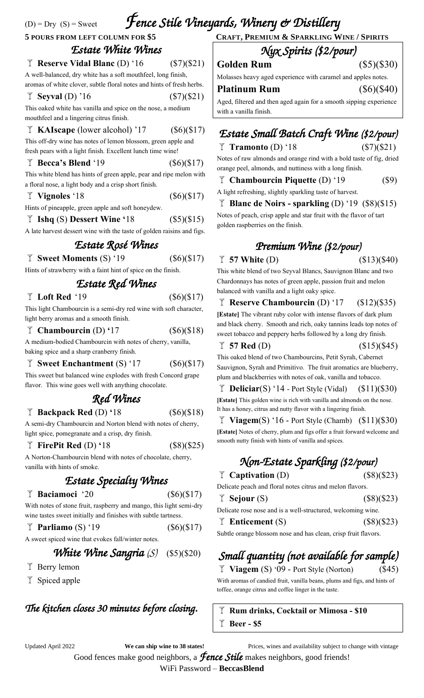# (D) = Dry (S) = Sweet *Fence Stile Vineyards, Winery & Distillery*  **<sup>5</sup> POURS FROM LEFT COLUMN FOR \$5 <sup>C</sup>RAFT, <sup>P</sup>REMIUM & <sup>S</sup>PARKLING <sup>W</sup>INE / <sup>S</sup>PIRITS**

### *Estate White Wines*  **Reserve Vidal Blanc** (D) '16 (\$7)(\$21)

A well-balanced, dry white has a soft mouthfeel, long finish, aromas of white clover, subtle floral notes and hints of fresh herbs.

**F** Seyval (D) '16 (\$7)(\$21)

This oaked white has vanilla and spice on the nose, a medium mouthfeel and a lingering citrus finish.

**KAIscape** (lower alcohol) '17 (\$6)(\$17)

This off-dry wine has notes of lemon blossom, green apple and fresh pears with a light finish. Excellent lunch time wine!

**Becca's Blend** '19 (\$6)(\$17)

This white blend has hints of green apple, pear and ripe melon with a floral nose, a light body and a crisp short finish.

### **Vignoles** '18 (\$6)(\$17)

Hints of pineapple, green apple and soft honeydew.

**Ishq** (S) **Dessert Wine '**18(\$5)(\$15)

A late harvest dessert wine with the taste of golden raisins and figs.

## *Estate Rosé Wines*

**Sweet Moments** (S) '19(\$6)(\$17) Hints of strawberry with a faint hint of spice on the finish.

# *Estate Red Wines*

### $\sqrt{\ }$  **Loft Red** '19 (\$6)(\$17)

This light Chambourcin is a semi-dry red wine with soft character, light berry aromas and a smooth finish.

**Chambourcin** (D) **'**17 (\$6)(\$18)

A medium-bodied Chambourcin with notes of cherry, vanilla, baking spice and a sharp cranberry finish.

**F** Sweet Enchantment (S) '17 (\$6)(\$17)

This sweet but balanced wine explodes with fresh Concord grape flavor. This wine goes well with anything chocolate.

# *Red Wines*

### **Backpack Red** (D) **'**18 (\$6)(\$18)

A semi-dry Chambourcin and Norton blend with notes of cherry, light spice, pomegranate and a crisp, dry finish.

### **FirePit Red** (D) **'**18 (\$8)(\$25)

A Norton-Chambourcin blend with notes of chocolate, cherry, vanilla with hints of smoke.

## *Estate Specialty Wines*

### **Baciamoci** '20(\$6)(\$17)

With notes of stone fruit, raspberry and mango, this light semi-dry wine tastes sweet initially and finishes with subtle tartness.

**Parliamo** (S) '19(\$6)(\$17)

A sweet spiced wine that evokes fall/winter notes.

## *White Wine Sangria* (S) (\$5)(\$20)

- $\mathbb{\bar{I}}$  Berry lemon
- $\Upsilon$  Spiced apple

## *The kitchen closes 30 minutes before closing.*

### *Nyx Spirits (\$2/pour)*  **Golden Rum** (\$5)(\$30)

Molasses heavy aged experience with caramel and apples notes.

| Platinum Rum                                                       | $(\$6)(\$40)$ |
|--------------------------------------------------------------------|---------------|
| A god filtowed and then agod again for a smooth sinning experience |               |

Aged, filtered and then aged again for a smooth sipping experience with a vanilla finish.

# *Estate Small Batch Craft Wine (\$2/pour)*

**Tramonto** (D) '18 (\$7)(\$21) Notes of raw almonds and orange rind with a bold taste of fig, dried orange peel, almonds, and nuttiness with a long finish.

**Chambourcin Piquette** (D) '19 (\$9)

A light refreshing, slightly sparkling taste of harvest.

#### **Blanc de Noirs - sparkling** (D) '19 (\$8)(\$15) Notes of peach, crisp apple and star fruit with the flavor of tart

golden raspberries on the finish.

## *Premium Wine (\$2/pour)*

### $\bar{f}$  57 White (D) (\$13)(\$40)

This white blend of two Seyval Blancs, Sauvignon Blanc and two Chardonnays has notes of green apple, passion fruit and melon balanced with vanilla and a light oaky spice.

**Reserve Chambourcin** (D) '17(\$12)(\$35) **[Estate]** The vibrant ruby color with intense flavors of dark plum

and black cherry. Smooth and rich, oaky tannins leads top notes of sweet tobacco and peppery herbs followed by a long dry finish.

 $\sqrt{7}$  57 Red (D) (\$15)(\$45)

This oaked blend of two Chambourcins, Petit Syrah, Cabernet Sauvignon, Syrah and Primitivo. The fruit aromatics are blueberry, plum and blackberries with notes of oak, vanilla and tobacco.

**T** Deliciar(S) '14 - Port Style (Vidal)  $($11)($30)$ **[Estate]** This golden wine is rich with vanilla and almonds on the nose. It has a honey, citrus and nutty flavor with a lingering finish.

**Viagem**(S) '16 - Port Style (Chamb)  $(\$11)(\$30)$ **[Estate]** Notes of cherry, plum and figs offer a fruit forward welcome and smooth nutty finish with hints of vanilla and spices.

# *Non-Estate Sparkling (\$2/pour)*

 $\mathbb{F}$  **Captivation** (D) (\$8)(\$23)

| Delicate peach and floral notes citrus and melon flavors. |
|-----------------------------------------------------------|
|-----------------------------------------------------------|

| $\overline{I}$ Sejour (S)                                  | (\$8)(\$23) |
|------------------------------------------------------------|-------------|
| Deligate rose nose and is a well structured welcoming wine |             |

Delicate rose nose and is a well-structured, welcoming wine.

| $\overline{I}$ Enticement (S)                                  | (\$8)(\$23) |
|----------------------------------------------------------------|-------------|
| Subtle orange blossom nose and has clean, crisp fruit flavors. |             |

# *Small quantity (not available for sample)*

 $\overline{I}$  **Viagem** (S) '09 - Port Style (Norton) (\$45) With aromas of candied fruit, vanilla beans, plums and figs, and hints of toffee, orange citrus and coffee linger in the taste.

**Rum drinks, Cocktail or Mimosa - \$10 Beer - \$5**

Updated April 2022 **We can ship wine to 38 states!** Prices, wines and availability subject to change with vintage

Good fences make good neighbors, a *Fence Stile* makes neighbors, good friends!

WiFi Password – **BeccasBlend**